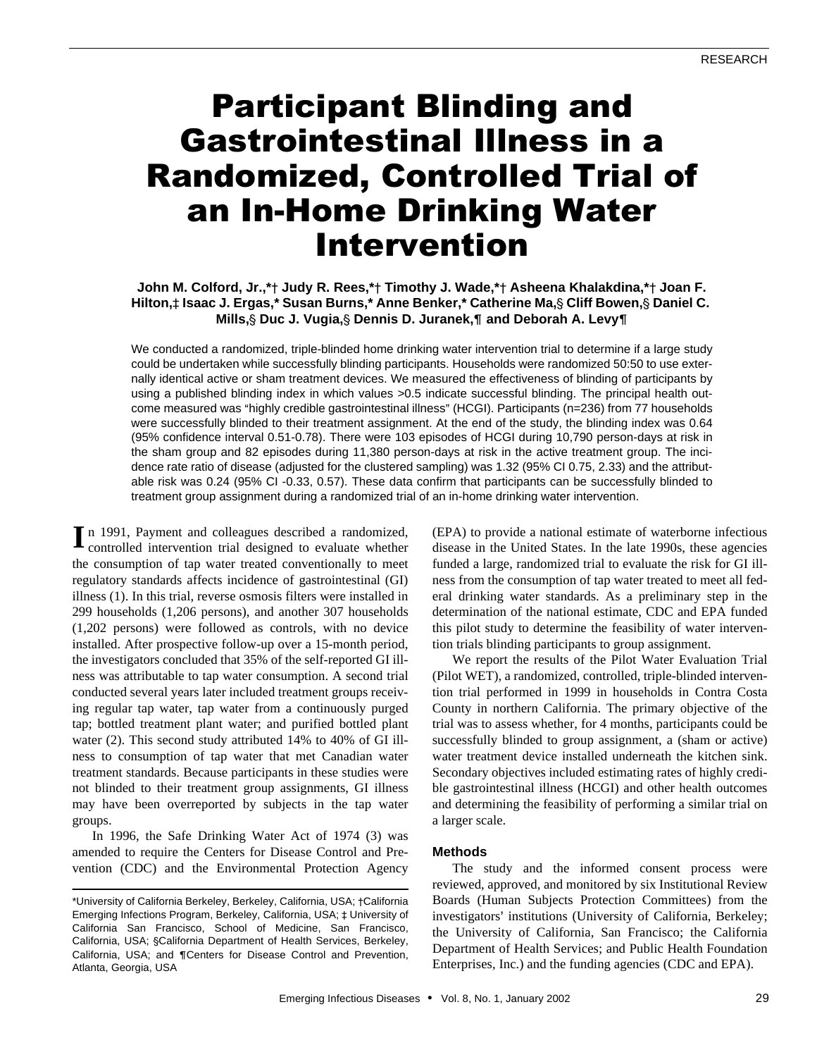# Participant Blinding and Gastrointestinal Illness in a Randomized, Controlled Trial of an In-Home Drinking Water Intervention

# **John M. Colford, Jr.,\***H **Judy R. Rees,\***H **Timothy J. Wade,\***H **Asheena Khalakdina,\***H **Joan F. Hilton,**I **Isaac J. Ergas,\* Susan Burns,\* Anne Benker,\* Catherine Ma,**' **Cliff Bowen,**' **Daniel C. Mills,**' **Duc J. Vugia,**' **Dennis D. Juranek,**& **and Deborah A. Levy**&

We conducted a randomized, triple-blinded home drinking water intervention trial to determine if a large study could be undertaken while successfully blinding participants. Households were randomized 50:50 to use externally identical active or sham treatment devices. We measured the effectiveness of blinding of participants by using a published blinding index in which values >0.5 indicate successful blinding. The principal health outcome measured was "highly credible gastrointestinal illness" (HCGI). Participants (n=236) from 77 households were successfully blinded to their treatment assignment. At the end of the study, the blinding index was 0.64 (95% confidence interval 0.51-0.78). There were 103 episodes of HCGI during 10,790 person-days at risk in the sham group and 82 episodes during 11,380 person-days at risk in the active treatment group. The incidence rate ratio of disease (adjusted for the clustered sampling) was 1.32 (95% CI 0.75, 2.33) and the attributable risk was 0.24 (95% CI -0.33, 0.57). These data confirm that participants can be successfully blinded to treatment group assignment during a randomized trial of an in-home drinking water intervention.

In 1991, Payment and colleagues described a randomized, controlled intervention trial designed to evaluate whether controlled intervention trial designed to evaluate whether the consumption of tap water treated conventionally to meet regulatory standards affects incidence of gastrointestinal (GI) illness (1). In this trial, reverse osmosis filters were installed in 299 households (1,206 persons), and another 307 households (1,202 persons) were followed as controls, with no device installed. After prospective follow-up over a 15-month period, the investigators concluded that 35% of the self-reported GI illness was attributable to tap water consumption. A second trial conducted several years later included treatment groups receiving regular tap water, tap water from a continuously purged tap; bottled treatment plant water; and purified bottled plant water (2). This second study attributed 14% to 40% of GI illness to consumption of tap water that met Canadian water treatment standards. Because participants in these studies were not blinded to their treatment group assignments, GI illness may have been overreported by subjects in the tap water groups.

In 1996, the Safe Drinking Water Act of 1974 (3) was amended to require the Centers for Disease Control and Prevention (CDC) and the Environmental Protection Agency (EPA) to provide a national estimate of waterborne infectious disease in the United States. In the late 1990s, these agencies funded a large, randomized trial to evaluate the risk for GI illness from the consumption of tap water treated to meet all federal drinking water standards. As a preliminary step in the determination of the national estimate, CDC and EPA funded this pilot study to determine the feasibility of water intervention trials blinding participants to group assignment.

We report the results of the Pilot Water Evaluation Trial (Pilot WET), a randomized, controlled, triple-blinded intervention trial performed in 1999 in households in Contra Costa County in northern California. The primary objective of the trial was to assess whether, for 4 months, participants could be successfully blinded to group assignment, a (sham or active) water treatment device installed underneath the kitchen sink. Secondary objectives included estimating rates of highly credible gastrointestinal illness (HCGI) and other health outcomes and determining the feasibility of performing a similar trial on a larger scale.

# **Methods**

The study and the informed consent process were reviewed, approved, and monitored by six Institutional Review Boards (Human Subjects Protection Committees) from the investigators' institutions (University of California, Berkeley; the University of California, San Francisco; the California Department of Health Services; and Public Health Foundation Enterprises, Inc.) and the funding agencies (CDC and EPA).

<sup>\*</sup>University of California Berkeley, Berkeley, California, USA; †California Emerging Infections Program, Berkeley, California, USA;  $\ddagger$  University of California San Francisco, School of Medicine, San Francisco, California, USA; §California Department of Health Services, Berkeley, California, USA; and ¶Centers for Disease Control and Prevention, Atlanta, Georgia, USA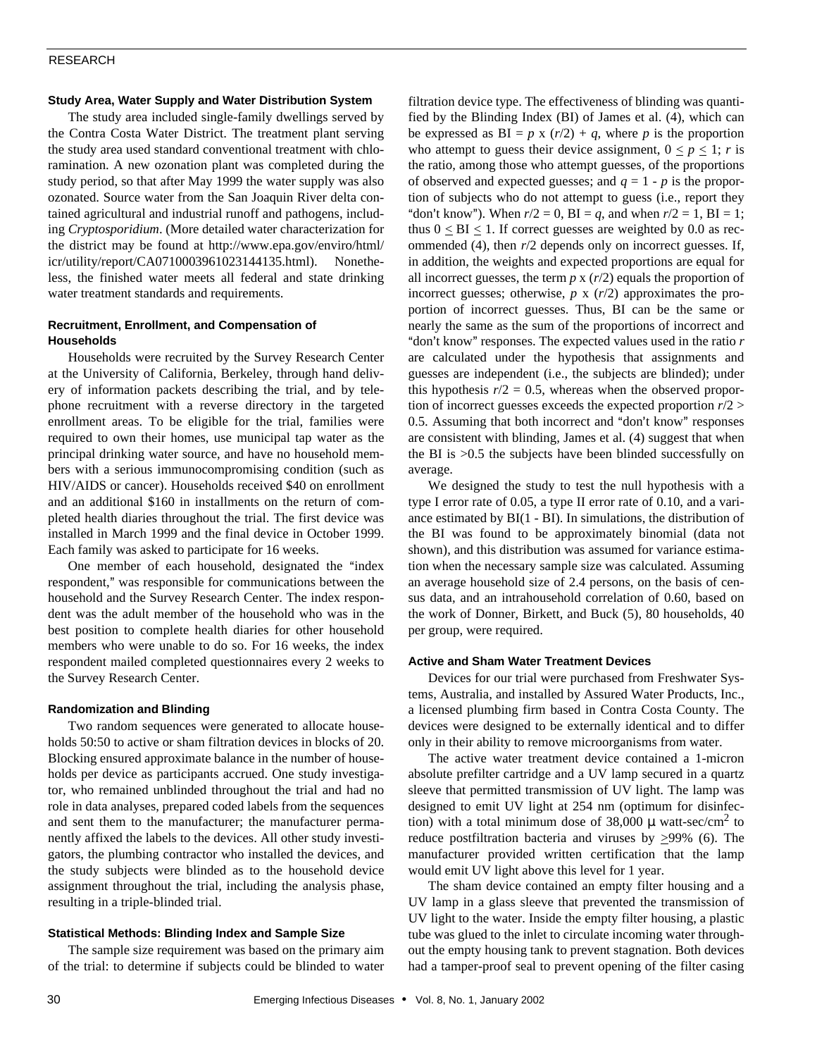# **Study Area, Water Supply and Water Distribution System**

The study area included single-family dwellings served by the Contra Costa Water District. The treatment plant serving the study area used standard conventional treatment with chloramination. A new ozonation plant was completed during the study period, so that after May 1999 the water supply was also ozonated. Source water from the San Joaquin River delta contained agricultural and industrial runoff and pathogens, including *Cryptosporidium*. (More detailed water characterization for the district may be found at http://www.epa.gov/enviro/html/ icr/utility/report/CA0710003961023144135.html). Nonetheless, the finished water meets all federal and state drinking water treatment standards and requirements.

# **Recruitment, Enrollment, and Compensation of Households**

Households were recruited by the Survey Research Center at the University of California, Berkeley, through hand delivery of information packets describing the trial, and by telephone recruitment with a reverse directory in the targeted enrollment areas. To be eligible for the trial, families were required to own their homes, use municipal tap water as the principal drinking water source, and have no household members with a serious immunocompromising condition (such as HIV/AIDS or cancer). Households received \$40 on enrollment and an additional \$160 in installments on the return of completed health diaries throughout the trial. The first device was installed in March 1999 and the final device in October 1999. Each family was asked to participate for 16 weeks.

One member of each household, designated the "index respondent," was responsible for communications between the household and the Survey Research Center. The index respondent was the adult member of the household who was in the best position to complete health diaries for other household members who were unable to do so. For 16 weeks, the index respondent mailed completed questionnaires every 2 weeks to the Survey Research Center.

#### **Randomization and Blinding**

Two random sequences were generated to allocate households 50:50 to active or sham filtration devices in blocks of 20. Blocking ensured approximate balance in the number of households per device as participants accrued. One study investigator, who remained unblinded throughout the trial and had no role in data analyses, prepared coded labels from the sequences and sent them to the manufacturer; the manufacturer permanently affixed the labels to the devices. All other study investigators, the plumbing contractor who installed the devices, and the study subjects were blinded as to the household device assignment throughout the trial, including the analysis phase, resulting in a triple-blinded trial.

# **Statistical Methods: Blinding Index and Sample Size**

The sample size requirement was based on the primary aim of the trial: to determine if subjects could be blinded to water filtration device type. The effectiveness of blinding was quantified by the Blinding Index (BI) of James et al. (4), which can be expressed as  $BI = p \times (r/2) + q$ , where *p* is the proportion who attempt to guess their device assignment,  $0 \le p \le 1$ ; *r* is the ratio, among those who attempt guesses, of the proportions of observed and expected guesses; and  $q = 1 - p$  is the proportion of subjects who do not attempt to guess (i.e., report they "don't know"). When  $r/2 = 0$ ,  $BI = q$ , and when  $r/2 = 1$ ,  $BI = 1$ ; thus  $0 \leq BI \leq 1$ . If correct guesses are weighted by 0.0 as recommended (4), then *r*/2 depends only on incorrect guesses. If, in addition, the weights and expected proportions are equal for all incorrect guesses, the term  $p \times (r/2)$  equals the proportion of incorrect guesses; otherwise, *p* x (*r*/2) approximates the proportion of incorrect guesses. Thus, BI can be the same or nearly the same as the sum of the proportions of incorrect and "don't know" responses. The expected values used in the ratio *r* are calculated under the hypothesis that assignments and guesses are independent (i.e., the subjects are blinded); under this hypothesis  $r/2 = 0.5$ , whereas when the observed proportion of incorrect guesses exceeds the expected proportion *r*/2 > 0.5. Assuming that both incorrect and "don't know" responses are consistent with blinding, James et al. (4) suggest that when the BI is >0.5 the subjects have been blinded successfully on average.

We designed the study to test the null hypothesis with a type I error rate of 0.05, a type II error rate of 0.10, and a variance estimated by BI(1 - BI). In simulations, the distribution of the BI was found to be approximately binomial (data not shown), and this distribution was assumed for variance estimation when the necessary sample size was calculated. Assuming an average household size of 2.4 persons, on the basis of census data, and an intrahousehold correlation of 0.60, based on the work of Donner, Birkett, and Buck (5), 80 households, 40 per group, were required.

## **Active and Sham Water Treatment Devices**

Devices for our trial were purchased from Freshwater Systems, Australia, and installed by Assured Water Products, Inc., a licensed plumbing firm based in Contra Costa County. The devices were designed to be externally identical and to differ only in their ability to remove microorganisms from water.

The active water treatment device contained a 1-micron absolute prefilter cartridge and a UV lamp secured in a quartz sleeve that permitted transmission of UV light. The lamp was designed to emit UV light at 254 nm (optimum for disinfection) with a total minimum dose of 38,000  $\mu$  watt-sec/cm<sup>2</sup> to reduce postfiltration bacteria and viruses by  $\geq$ 99% (6). The manufacturer provided written certification that the lamp would emit UV light above this level for 1 year.

The sham device contained an empty filter housing and a UV lamp in a glass sleeve that prevented the transmission of UV light to the water. Inside the empty filter housing, a plastic tube was glued to the inlet to circulate incoming water throughout the empty housing tank to prevent stagnation. Both devices had a tamper-proof seal to prevent opening of the filter casing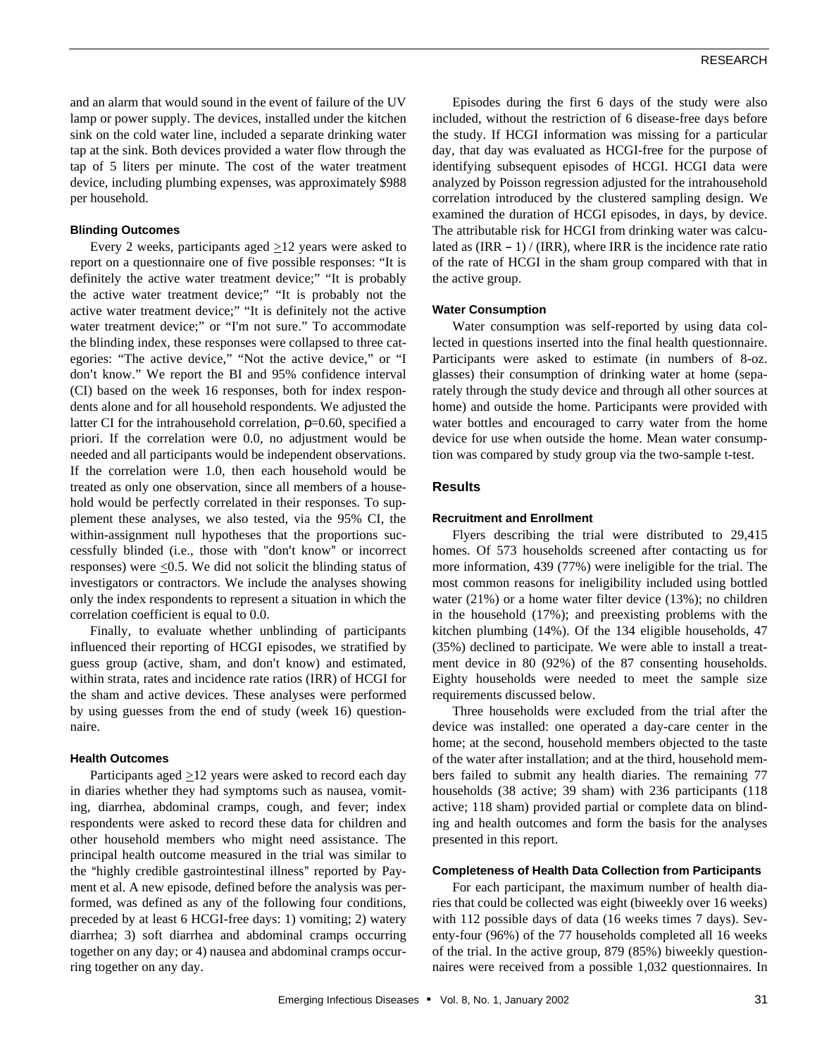and an alarm that would sound in the event of failure of the UV lamp or power supply. The devices, installed under the kitchen sink on the cold water line, included a separate drinking water tap at the sink. Both devices provided a water flow through the tap of 5 liters per minute. The cost of the water treatment device, including plumbing expenses, was approximately \$988 per household.

# **Blinding Outcomes**

Every 2 weeks, participants aged  $\geq$ 12 years were asked to report on a questionnaire one of five possible responses: "It is definitely the active water treatment device;" "It is probably the active water treatment device;" "It is probably not the active water treatment device;" "It is definitely not the active water treatment device;" or "I'm not sure." To accommodate the blinding index, these responses were collapsed to three categories: "The active device," "Not the active device," or "I don't know." We report the BI and 95% confidence interval (CI) based on the week 16 responses, both for index respondents alone and for all household respondents. We adjusted the latter CI for the intrahousehold correlation,  $p=0.60$ , specified a priori. If the correlation were 0.0, no adjustment would be needed and all participants would be independent observations. If the correlation were 1.0, then each household would be treated as only one observation, since all members of a household would be perfectly correlated in their responses. To supplement these analyses, we also tested, via the 95% CI, the within-assignment null hypotheses that the proportions successfully blinded (i.e., those with "don't know" or incorrect responses) were  $\leq 0.5$ . We did not solicit the blinding status of investigators or contractors. We include the analyses showing only the index respondents to represent a situation in which the correlation coefficient is equal to 0.0.

Finally, to evaluate whether unblinding of participants influenced their reporting of HCGI episodes, we stratified by guess group (active, sham, and don't know) and estimated, within strata, rates and incidence rate ratios (IRR) of HCGI for the sham and active devices. These analyses were performed by using guesses from the end of study (week 16) questionnaire.

## **Health Outcomes**

Participants aged  $\geq 12$  years were asked to record each day in diaries whether they had symptoms such as nausea, vomiting, diarrhea, abdominal cramps, cough, and fever; index respondents were asked to record these data for children and other household members who might need assistance. The principal health outcome measured in the trial was similar to the "highly credible gastrointestinal illness" reported by Payment et al. A new episode, defined before the analysis was performed, was defined as any of the following four conditions, preceded by at least 6 HCGI-free days: 1) vomiting; 2) watery diarrhea; 3) soft diarrhea and abdominal cramps occurring together on any day; or 4) nausea and abdominal cramps occurring together on any day.

Episodes during the first 6 days of the study were also included, without the restriction of 6 disease-free days before the study. If HCGI information was missing for a particular day, that day was evaluated as HCGI-free for the purpose of identifying subsequent episodes of HCGI. HCGI data were analyzed by Poisson regression adjusted for the intrahousehold correlation introduced by the clustered sampling design. We examined the duration of HCGI episodes, in days, by device. The attributable risk for HCGI from drinking water was calculated as  $\left( IRR - 1 \right) / \left( IRR \right)$ , where IRR is the incidence rate ratio of the rate of HCGI in the sham group compared with that in the active group.

# **Water Consumption**

Water consumption was self-reported by using data collected in questions inserted into the final health questionnaire. Participants were asked to estimate (in numbers of 8-oz. glasses) their consumption of drinking water at home (separately through the study device and through all other sources at home) and outside the home. Participants were provided with water bottles and encouraged to carry water from the home device for use when outside the home. Mean water consumption was compared by study group via the two-sample t-test.

# **Results**

#### **Recruitment and Enrollment**

Flyers describing the trial were distributed to 29,415 homes. Of 573 households screened after contacting us for more information, 439 (77%) were ineligible for the trial. The most common reasons for ineligibility included using bottled water (21%) or a home water filter device (13%); no children in the household (17%); and preexisting problems with the kitchen plumbing (14%). Of the 134 eligible households, 47 (35%) declined to participate. We were able to install a treatment device in 80 (92%) of the 87 consenting households. Eighty households were needed to meet the sample size requirements discussed below.

Three households were excluded from the trial after the device was installed: one operated a day-care center in the home; at the second, household members objected to the taste of the water after installation; and at the third, household members failed to submit any health diaries. The remaining 77 households (38 active; 39 sham) with 236 participants (118 active; 118 sham) provided partial or complete data on blinding and health outcomes and form the basis for the analyses presented in this report.

#### **Completeness of Health Data Collection from Participants**

For each participant, the maximum number of health diaries that could be collected was eight (biweekly over 16 weeks) with 112 possible days of data (16 weeks times 7 days). Seventy-four (96%) of the 77 households completed all 16 weeks of the trial. In the active group, 879 (85%) biweekly questionnaires were received from a possible 1,032 questionnaires. In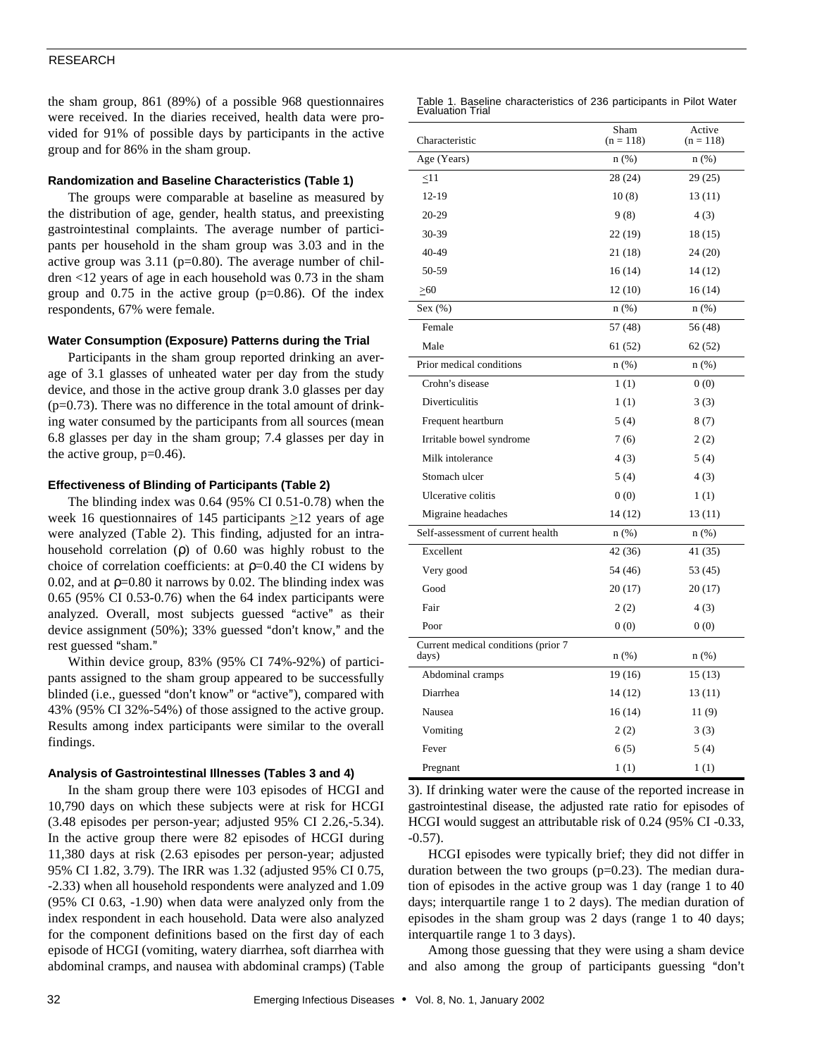the sham group, 861 (89%) of a possible 968 questionnaires were received. In the diaries received, health data were provided for 91% of possible days by participants in the active group and for 86% in the sham group.

# **Randomization and Baseline Characteristics (Table 1)**

The groups were comparable at baseline as measured by the distribution of age, gender, health status, and preexisting gastrointestinal complaints. The average number of participants per household in the sham group was 3.03 and in the active group was  $3.11$  (p=0.80). The average number of children <12 years of age in each household was 0.73 in the sham group and  $0.75$  in the active group ( $p=0.86$ ). Of the index respondents, 67% were female.

#### **Water Consumption (Exposure) Patterns during the Trial**

Participants in the sham group reported drinking an average of 3.1 glasses of unheated water per day from the study device, and those in the active group drank 3.0 glasses per day  $(p=0.73)$ . There was no difference in the total amount of drinking water consumed by the participants from all sources (mean 6.8 glasses per day in the sham group; 7.4 glasses per day in the active group,  $p=0.46$ ).

## **Effectiveness of Blinding of Participants (Table 2)**

The blinding index was 0.64 (95% CI 0.51-0.78) when the week 16 questionnaires of 145 participants  $\geq$ 12 years of age were analyzed (Table 2). This finding, adjusted for an intrahousehold correlation (ρ) of 0.60 was highly robust to the choice of correlation coefficients: at  $p=0.40$  the CI widens by 0.02, and at  $p=0.80$  it narrows by 0.02. The blinding index was 0.65 (95% CI 0.53-0.76) when the 64 index participants were analyzed. Overall, most subjects guessed "active" as their device assignment  $(50\%)$ ; 33% guessed "don't know," and the rest guessed "sham."

Within device group, 83% (95% CI 74%-92%) of participants assigned to the sham group appeared to be successfully blinded (i.e., guessed "don't know" or "active"), compared with 43% (95% CI 32%-54%) of those assigned to the active group. Results among index participants were similar to the overall findings.

#### **Analysis of Gastrointestinal Illnesses (Tables 3 and 4)**

In the sham group there were 103 episodes of HCGI and 10,790 days on which these subjects were at risk for HCGI (3.48 episodes per person-year; adjusted 95% CI 2.26,-5.34). In the active group there were 82 episodes of HCGI during 11,380 days at risk (2.63 episodes per person-year; adjusted 95% CI 1.82, 3.79). The IRR was 1.32 (adjusted 95% CI 0.75, -2.33) when all household respondents were analyzed and 1.09 (95% CI 0.63, -1.90) when data were analyzed only from the index respondent in each household. Data were also analyzed for the component definitions based on the first day of each episode of HCGI (vomiting, watery diarrhea, soft diarrhea with abdominal cramps, and nausea with abdominal cramps) (Table

| Characteristic                               | Sham<br>Active<br>$(n = 118)$<br>$(n = 118)$ |         |  |
|----------------------------------------------|----------------------------------------------|---------|--|
| Age (Years)                                  | $n$ (%)                                      | $n$ (%) |  |
| <11                                          | 28 (24)                                      | 29(25)  |  |
| $12 - 19$                                    | 10(8)                                        | 13(11)  |  |
| 20-29                                        | 9(8)                                         | 4(3)    |  |
| 30-39                                        | 22(19)                                       | 18 (15) |  |
| 40-49                                        | 21 (18)                                      | 24 (20) |  |
| 50-59                                        | 16(14)                                       | 14 (12) |  |
| >60                                          | 12 (10)                                      | 16 (14) |  |
| Sex (%)                                      | $n$ (%)                                      | $n$ (%) |  |
| Female                                       | 57 (48)                                      | 56 (48) |  |
| Male                                         | 61 (52)                                      | 62(52)  |  |
| Prior medical conditions                     | $n$ (%)                                      | $n$ (%) |  |
| Crohn's disease                              | 1(1)                                         | 0(0)    |  |
| Diverticulitis                               | 1(1)                                         | 3(3)    |  |
| Frequent heartburn                           | 5(4)                                         | 8(7)    |  |
| Irritable bowel syndrome                     | 7(6)                                         | 2(2)    |  |
| Milk intolerance                             | 4(3)                                         | 5(4)    |  |
| Stomach ulcer                                | 5(4)                                         | 4(3)    |  |
| <b>Ulcerative colitis</b>                    | 0(0)                                         | 1(1)    |  |
| Migraine headaches                           | 14 (12)                                      | 13(11)  |  |
| Self-assessment of current health            | $n$ (%)                                      | $n$ (%) |  |
| Excellent                                    | 42 (36)                                      | 41 (35) |  |
| Very good                                    | 54 (46)                                      | 53 (45) |  |
| Good                                         | 20(17)                                       | 20(17)  |  |
| Fair                                         | 2(2)                                         | 4(3)    |  |
| Poor                                         | 0(0)                                         | 0(0)    |  |
| Current medical conditions (prior 7<br>days) | $n$ (%)                                      | $n$ (%) |  |
| Abdominal cramps                             | 19(16)                                       | 15(13)  |  |
| Diarrhea                                     | 14 (12)                                      | 13(11)  |  |
| Nausea                                       | 16 (14)                                      | 11(9)   |  |
| Vomiting                                     | 2(2)                                         | 3(3)    |  |
| Fever                                        | 6(5)                                         | 5(4)    |  |
| Pregnant                                     | 1(1)                                         | 1(1)    |  |

Table 1. Baseline characteristics of 236 participants in Pilot Water

Evaluation Trial

3). If drinking water were the cause of the reported increase in gastrointestinal disease, the adjusted rate ratio for episodes of HCGI would suggest an attributable risk of 0.24 (95% CI -0.33, -0.57).

HCGI episodes were typically brief; they did not differ in duration between the two groups  $(p=0.23)$ . The median duration of episodes in the active group was 1 day (range 1 to 40 days; interquartile range 1 to 2 days). The median duration of episodes in the sham group was 2 days (range 1 to 40 days; interquartile range 1 to 3 days).

Among those guessing that they were using a sham device and also among the group of participants guessing "don't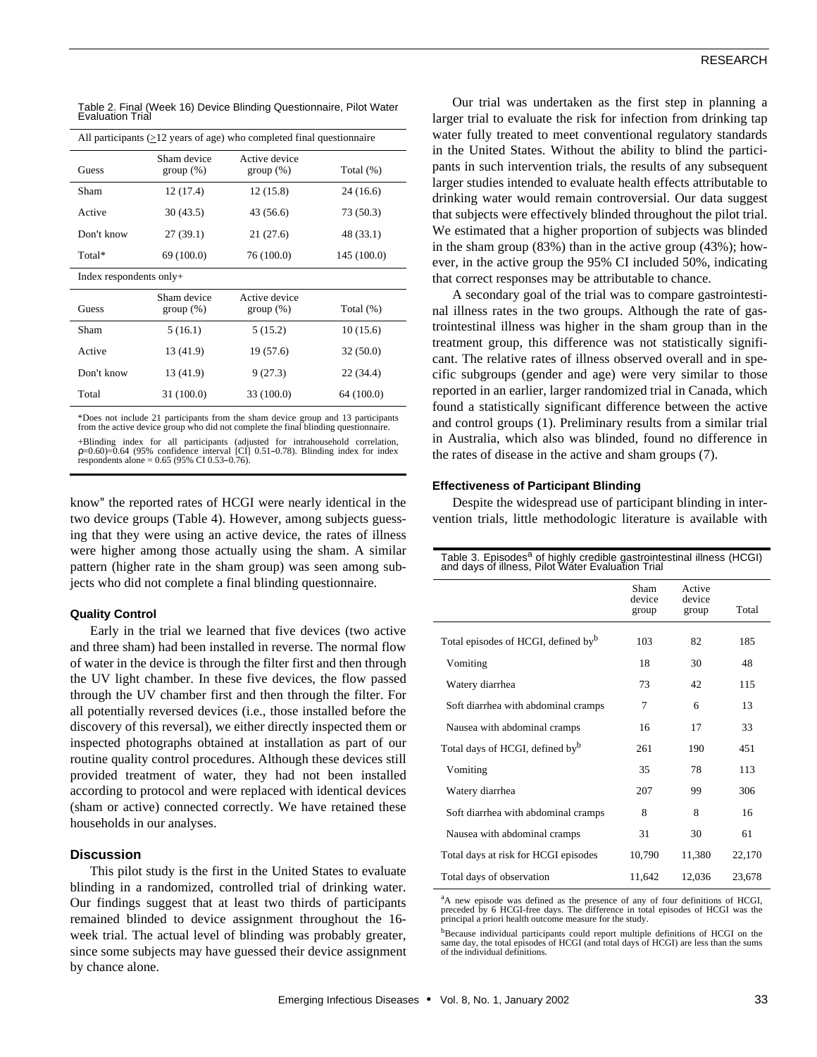| All participants $(\geq 12$ years of age) who completed final questionnaire |                          |                            |              |  |  |
|-----------------------------------------------------------------------------|--------------------------|----------------------------|--------------|--|--|
| Guess                                                                       | Sham device<br>group (%) | Active device<br>group (%) | Total $(\%)$ |  |  |
| Sham                                                                        | 12 (17.4)                | 12(15.8)                   | 24 (16.6)    |  |  |
| Active                                                                      | 30(43.5)                 | 43 (56.6)                  | 73 (50.3)    |  |  |
| Don't know                                                                  | 27(39.1)                 | 21(27.6)                   | 48 (33.1)    |  |  |
| Total*                                                                      | 69 (100.0)               | 76 (100.0)                 | 145 (100.0)  |  |  |
| Index respondents only+                                                     |                          |                            |              |  |  |
| Guess                                                                       | Sham device<br>group (%) | Active device<br>group (%) | Total $(\%)$ |  |  |
| Sham                                                                        | 5(16.1)                  | 5(15.2)                    | 10(15.6)     |  |  |
| Active                                                                      | 13 (41.9)                | 19 (57.6)                  | 32(50.0)     |  |  |
| Don't know                                                                  | 13 (41.9)                | 9(27.3)                    | 22 (34.4)    |  |  |
| Total                                                                       | 31(100.0)                | 33 (100.0)                 | 64 (100.0)   |  |  |
|                                                                             |                          |                            |              |  |  |

Table 2. Final (Week 16) Device Blinding Questionnaire, Pilot Water Evaluation Trial

\*Does not include 21 participants from the sham device group and 13 participants from the active device group who did not complete the final blinding questionnaire.

+Blinding index for all participants (adjusted for intrahousehold correlation,  $p=0.60$ )=0.64 (95% confidence interval [CI] 0.51-0.78). Blinding index for index respondents alone =  $0.65$  (95% CI 0.53-0.76).

know" the reported rates of HCGI were nearly identical in the two device groups (Table 4). However, among subjects guessing that they were using an active device, the rates of illness were higher among those actually using the sham. A similar pattern (higher rate in the sham group) was seen among subjects who did not complete a final blinding questionnaire.

# **Quality Control**

Early in the trial we learned that five devices (two active and three sham) had been installed in reverse. The normal flow of water in the device is through the filter first and then through the UV light chamber. In these five devices, the flow passed through the UV chamber first and then through the filter. For all potentially reversed devices (i.e., those installed before the discovery of this reversal), we either directly inspected them or inspected photographs obtained at installation as part of our routine quality control procedures. Although these devices still provided treatment of water, they had not been installed according to protocol and were replaced with identical devices (sham or active) connected correctly. We have retained these households in our analyses.

# **Discussion**

This pilot study is the first in the United States to evaluate blinding in a randomized, controlled trial of drinking water. Our findings suggest that at least two thirds of participants remained blinded to device assignment throughout the 16 week trial. The actual level of blinding was probably greater, since some subjects may have guessed their device assignment by chance alone.

Our trial was undertaken as the first step in planning a larger trial to evaluate the risk for infection from drinking tap water fully treated to meet conventional regulatory standards in the United States. Without the ability to blind the participants in such intervention trials, the results of any subsequent larger studies intended to evaluate health effects attributable to drinking water would remain controversial. Our data suggest that subjects were effectively blinded throughout the pilot trial. We estimated that a higher proportion of subjects was blinded in the sham group (83%) than in the active group (43%); however, in the active group the 95% CI included 50%, indicating that correct responses may be attributable to chance.

A secondary goal of the trial was to compare gastrointestinal illness rates in the two groups. Although the rate of gastrointestinal illness was higher in the sham group than in the treatment group, this difference was not statistically significant. The relative rates of illness observed overall and in specific subgroups (gender and age) were very similar to those reported in an earlier, larger randomized trial in Canada, which found a statistically significant difference between the active and control groups (1). Preliminary results from a similar trial in Australia, which also was blinded, found no difference in the rates of disease in the active and sham groups (7).

## **Effectiveness of Participant Blinding**

Despite the widespread use of participant blinding in intervention trials, little methodologic literature is available with

| Table 3. Episodes <sup>a</sup> of highly credible gastrointestinal illness (HCGI)<br>and days of illness, Pilot Water Evaluation Trial |                         |                           |        |  |
|----------------------------------------------------------------------------------------------------------------------------------------|-------------------------|---------------------------|--------|--|
|                                                                                                                                        | Sham<br>device<br>group | Active<br>device<br>group | Total  |  |
| Total episodes of HCGI, defined by <sup>b</sup>                                                                                        | 103                     | 82                        | 185    |  |
| Vomiting                                                                                                                               | 18                      | 30                        | 48     |  |
| Watery diarrhea                                                                                                                        | 73                      | 42                        | 115    |  |
| Soft diarrhea with abdominal cramps                                                                                                    | 7                       | 6                         | 13     |  |
| Nausea with abdominal cramps                                                                                                           | 16                      | 17                        | 33     |  |
| Total days of HCGI, defined by <sup>b</sup>                                                                                            | 261                     | 190                       | 451    |  |
| Vomiting                                                                                                                               | 35                      | 78                        | 113    |  |
| Watery diarrhea                                                                                                                        | 207                     | 99                        | 306    |  |
| Soft diarrhea with abdominal cramps                                                                                                    | 8                       | 8                         | 16     |  |
| Nausea with abdominal cramps                                                                                                           | 31                      | 30                        | 61     |  |
| Total days at risk for HCGI episodes                                                                                                   | 10,790                  | 11,380                    | 22,170 |  |
| Total days of observation                                                                                                              | 11,642                  | 12,036                    | 23,678 |  |

<sup>a</sup>A new episode was defined as the presence of any of four definitions of HCGI, preceded by 6 HCGI-free days. The difference in total episodes of HCGI was the principal a priori health outcome measure for the study.

<sup>b</sup>Because individual participants could report multiple definitions of HCGI on the same day, the total episodes of HCGI (and total days of HCGI) are less than the sums of the individual definitions.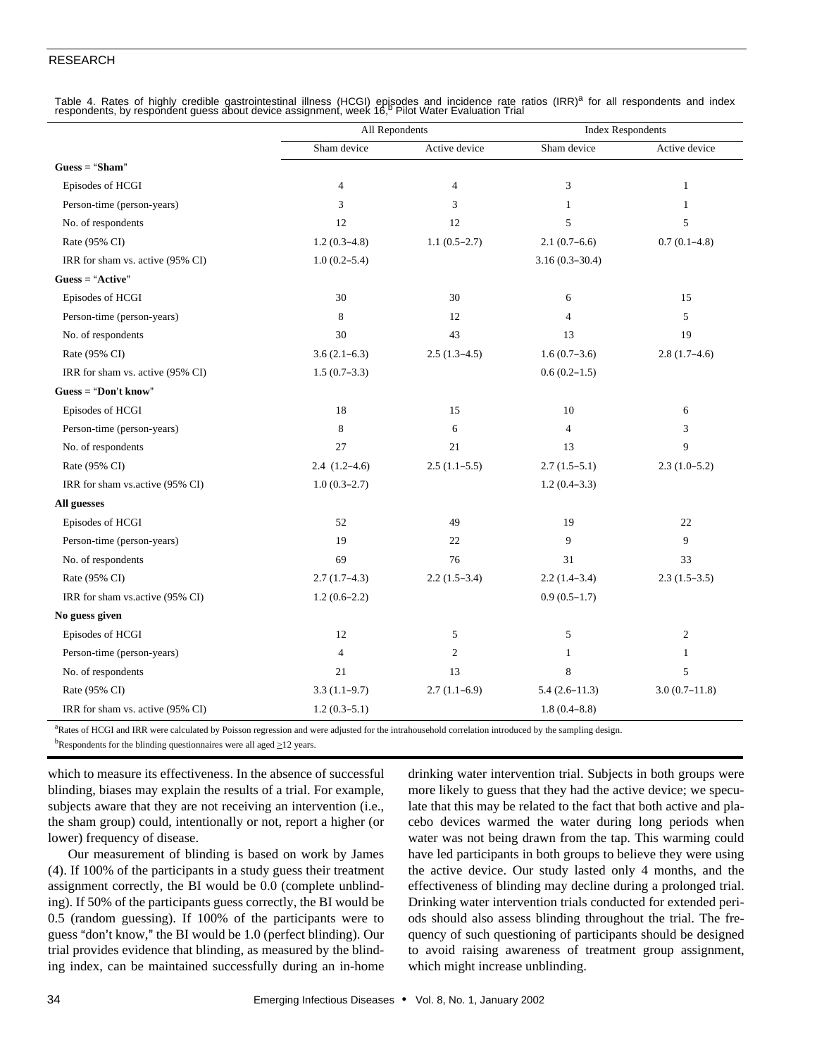Table 4. Rates of highly credible gastrointestinal illness (HCGI) episodes and incidence rate ratios (IRR)<sup>a</sup> for all respondents and index<br>respondents, by respondent guess about device assignment, week 16,<sup>b</sup> Pilot Water

|                                  | All Repondents   |                    | <b>Index Respondents</b> |                 |
|----------------------------------|------------------|--------------------|--------------------------|-----------------|
|                                  | Sham device      | Active device      | Sham device              | Active device   |
| $Guess = "Sham"$                 |                  |                    |                          |                 |
| Episodes of HCGI                 | 4                | $\overline{4}$     | 3                        | $\mathbf{1}$    |
| Person-time (person-years)       | 3                | 3                  | $\mathbf{1}$             | $\mathbf{1}$    |
| No. of respondents               | 12               | 12                 | 5                        | 5               |
| Rate (95% CI)                    | $1.2(0.3-4.8)$   | $1.1(0.5-2.7)$     | $2.1(0.7-6.6)$           | $0.7(0.1-4.8)$  |
| IRR for sham vs. active (95% CI) | $1.0(0.2 - 5.4)$ | $3.16(0.3 - 30.4)$ |                          |                 |
| Guess = "Active"                 |                  |                    |                          |                 |
| Episodes of HCGI                 | 30               | 30                 | 6                        | 15              |
| Person-time (person-years)       | 8                | 12                 | $\overline{4}$           | 5               |
| No. of respondents               | 30               | 43                 | 13                       | 19              |
| Rate (95% CI)                    | $3.6(2.1-6.3)$   | $2.5(1.3-4.5)$     | $1.6(0.7-3.6)$           | $2.8(1.7-4.6)$  |
| IRR for sham vs. active (95% CI) | $1.5(0.7-3.3)$   |                    | $0.6(0.2-1.5)$           |                 |
| $Guess = "Don't know"$           |                  |                    |                          |                 |
| Episodes of HCGI                 | 18               | 15                 | 10                       | 6               |
| Person-time (person-years)       | 8                | 6                  | $\overline{4}$           | 3               |
| No. of respondents               | 27               | 21                 | 13                       | 9               |
| Rate (95% CI)                    | $2.4(1.2-4.6)$   | $2.5(1.1-5.5)$     | $2.7(1.5-5.1)$           | $2.3(1.0-5.2)$  |
| IRR for sham vs.active (95% CI)  | $1.0(0.3-2.7)$   |                    | $1.2(0.4-3.3)$           |                 |
| All guesses                      |                  |                    |                          |                 |
| Episodes of HCGI                 | 52               | 49                 | 19                       | 22              |
| Person-time (person-years)       | 19               | 22                 | 9                        | 9               |
| No. of respondents               | 69               | 76                 | 31                       | 33              |
| Rate (95% CI)                    | $2.7(1.7-4.3)$   | $2.2(1.5-3.4)$     | $2.2(1.4-3.4)$           | $2.3(1.5-3.5)$  |
| IRR for sham vs.active (95% CI)  | $1.2(0.6-2.2)$   |                    | $0.9(0.5-1.7)$           |                 |
| No guess given                   |                  |                    |                          |                 |
| Episodes of HCGI                 | 12               | 5                  | 5                        | 2               |
| Person-time (person-years)       | $\overline{4}$   | $\overline{c}$     | $\mathbf{1}$             | $\mathbf{1}$    |
| No. of respondents               | 21               | 13                 | 8                        | 5               |
| Rate (95% CI)                    | $3.3(1.1-9.7)$   | $2.7(1.1-6.9)$     | $5.4(2.6-11.3)$          | $3.0(0.7-11.8)$ |
| IRR for sham vs. active (95% CI) | $1.2(0.3-5.1)$   |                    | $1.8(0.4 - 8.8)$         |                 |

<sup>a</sup>Rates of HCGI and IRR were calculated by Poisson regression and were adjusted for the intrahousehold correlation introduced by the sampling design.

<sup>b</sup>Respondents for the blinding questionnaires were all aged  $\geq$ 12 years.

which to measure its effectiveness. In the absence of successful blinding, biases may explain the results of a trial. For example, subjects aware that they are not receiving an intervention (i.e., the sham group) could, intentionally or not, report a higher (or lower) frequency of disease.

Our measurement of blinding is based on work by James (4). If 100% of the participants in a study guess their treatment assignment correctly, the BI would be 0.0 (complete unblinding). If 50% of the participants guess correctly, the BI would be 0.5 (random guessing). If 100% of the participants were to guess "don't know," the BI would be 1.0 (perfect blinding). Our trial provides evidence that blinding, as measured by the blinding index, can be maintained successfully during an in-home drinking water intervention trial. Subjects in both groups were more likely to guess that they had the active device; we speculate that this may be related to the fact that both active and placebo devices warmed the water during long periods when water was not being drawn from the tap. This warming could have led participants in both groups to believe they were using the active device. Our study lasted only 4 months, and the effectiveness of blinding may decline during a prolonged trial. Drinking water intervention trials conducted for extended periods should also assess blinding throughout the trial. The frequency of such questioning of participants should be designed to avoid raising awareness of treatment group assignment, which might increase unblinding.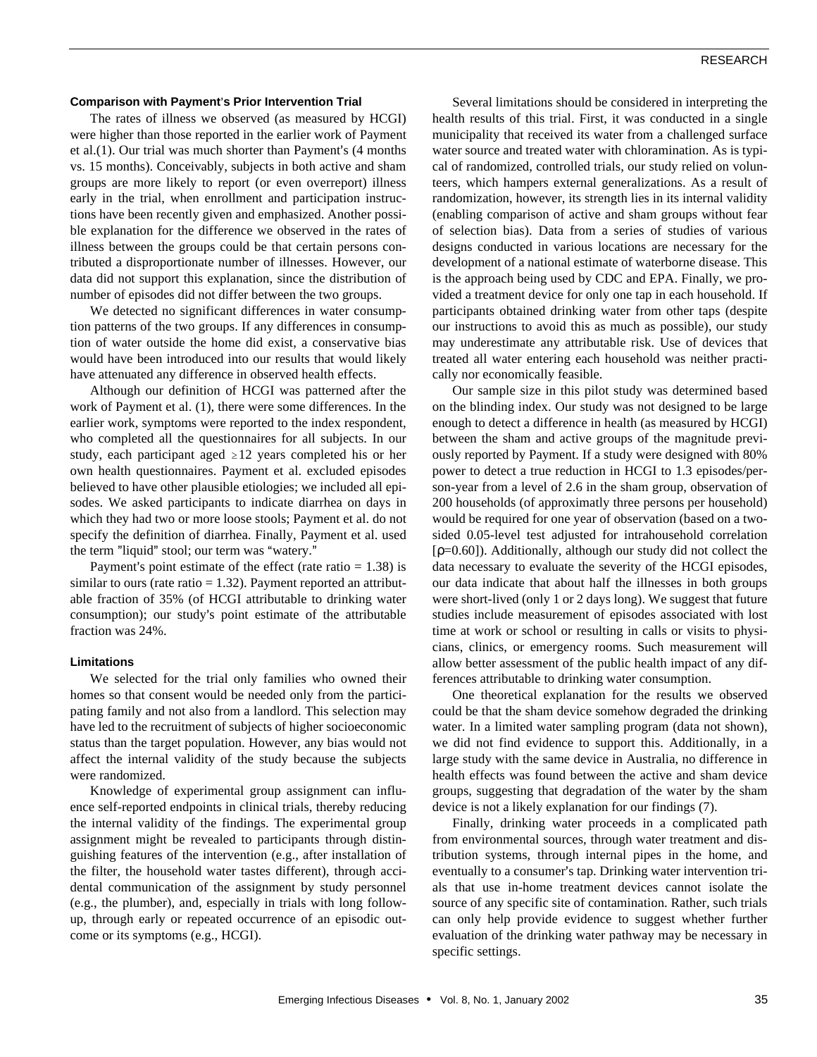## **Comparison with Payment's Prior Intervention Trial**

The rates of illness we observed (as measured by HCGI) were higher than those reported in the earlier work of Payment et al. $(1)$ . Our trial was much shorter than Payment's  $(4$  months vs. 15 months). Conceivably, subjects in both active and sham groups are more likely to report (or even overreport) illness early in the trial, when enrollment and participation instructions have been recently given and emphasized. Another possible explanation for the difference we observed in the rates of illness between the groups could be that certain persons contributed a disproportionate number of illnesses. However, our data did not support this explanation, since the distribution of number of episodes did not differ between the two groups.

We detected no significant differences in water consumption patterns of the two groups. If any differences in consumption of water outside the home did exist, a conservative bias would have been introduced into our results that would likely have attenuated any difference in observed health effects.

Although our definition of HCGI was patterned after the work of Payment et al. (1), there were some differences. In the earlier work, symptoms were reported to the index respondent, who completed all the questionnaires for all subjects. In our study, each participant aged  $\geq 12$  years completed his or her own health questionnaires. Payment et al. excluded episodes believed to have other plausible etiologies; we included all episodes. We asked participants to indicate diarrhea on days in which they had two or more loose stools; Payment et al. do not specify the definition of diarrhea. Finally, Payment et al. used the term "liquid" stool; our term was "watery."

Payment's point estimate of the effect (rate ratio  $= 1.38$ ) is similar to ours (rate ratio  $= 1.32$ ). Payment reported an attributable fraction of 35% (of HCGI attributable to drinking water consumption); our study's point estimate of the attributable fraction was 24%.

## **Limitations**

We selected for the trial only families who owned their homes so that consent would be needed only from the participating family and not also from a landlord. This selection may have led to the recruitment of subjects of higher socioeconomic status than the target population. However, any bias would not affect the internal validity of the study because the subjects were randomized.

Knowledge of experimental group assignment can influence self-reported endpoints in clinical trials, thereby reducing the internal validity of the findings. The experimental group assignment might be revealed to participants through distinguishing features of the intervention (e.g., after installation of the filter, the household water tastes different), through accidental communication of the assignment by study personnel (e.g., the plumber), and, especially in trials with long followup, through early or repeated occurrence of an episodic outcome or its symptoms (e.g., HCGI).

Several limitations should be considered in interpreting the health results of this trial. First, it was conducted in a single municipality that received its water from a challenged surface water source and treated water with chloramination. As is typical of randomized, controlled trials, our study relied on volunteers, which hampers external generalizations. As a result of randomization, however, its strength lies in its internal validity (enabling comparison of active and sham groups without fear of selection bias). Data from a series of studies of various designs conducted in various locations are necessary for the development of a national estimate of waterborne disease. This is the approach being used by CDC and EPA. Finally, we provided a treatment device for only one tap in each household. If participants obtained drinking water from other taps (despite our instructions to avoid this as much as possible), our study may underestimate any attributable risk. Use of devices that treated all water entering each household was neither practically nor economically feasible.

Our sample size in this pilot study was determined based on the blinding index. Our study was not designed to be large enough to detect a difference in health (as measured by HCGI) between the sham and active groups of the magnitude previously reported by Payment. If a study were designed with 80% power to detect a true reduction in HCGI to 1.3 episodes/person-year from a level of 2.6 in the sham group, observation of 200 households (of approximatly three persons per household) would be required for one year of observation (based on a twosided 0.05-level test adjusted for intrahousehold correlation  $[p=0.60]$ ). Additionally, although our study did not collect the data necessary to evaluate the severity of the HCGI episodes, our data indicate that about half the illnesses in both groups were short-lived (only 1 or 2 days long). We suggest that future studies include measurement of episodes associated with lost time at work or school or resulting in calls or visits to physicians, clinics, or emergency rooms. Such measurement will allow better assessment of the public health impact of any differences attributable to drinking water consumption.

One theoretical explanation for the results we observed could be that the sham device somehow degraded the drinking water. In a limited water sampling program (data not shown), we did not find evidence to support this. Additionally, in a large study with the same device in Australia, no difference in health effects was found between the active and sham device groups, suggesting that degradation of the water by the sham device is not a likely explanation for our findings (7).

Finally, drinking water proceeds in a complicated path from environmental sources, through water treatment and distribution systems, through internal pipes in the home, and eventually to a consumer's tap. Drinking water intervention trials that use in-home treatment devices cannot isolate the source of any specific site of contamination. Rather, such trials can only help provide evidence to suggest whether further evaluation of the drinking water pathway may be necessary in specific settings.